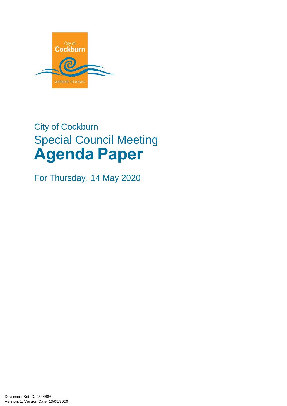

# City of Cockburn Special Council Meeting **Agenda Paper**

For Thursday, 14 May 2020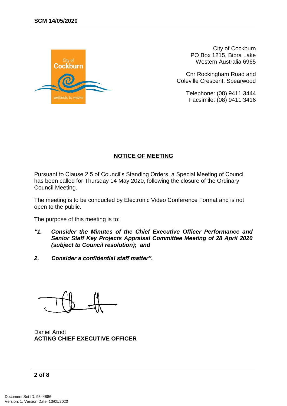

City of Cockburn PO Box 1215, Bibra Lake Western Australia 6965

Cnr Rockingham Road and Coleville Crescent, Spearwood

> Telephone: (08) 9411 3444 Facsimile: (08) 9411 3416

#### **NOTICE OF MEETING**

Pursuant to Clause 2.5 of Council's Standing Orders, a Special Meeting of Council has been called for Thursday 14 May 2020, following the closure of the Ordinary Council Meeting.

The meeting is to be conducted by Electronic Video Conference Format and is not open to the public.

The purpose of this meeting is to:

- *"1. Consider the Minutes of the Chief Executive Officer Performance and Senior Staff Key Projects Appraisal Committee Meeting of 28 April 2020 (subject to Council resolution); and*
- *2. Consider a confidential staff matter".*

Daniel Arndt **ACTING CHIEF EXECUTIVE OFFICER**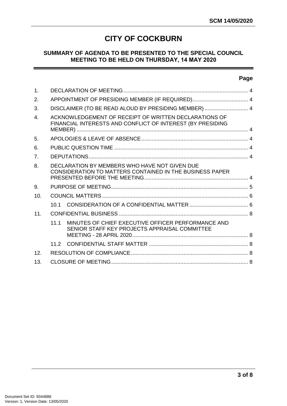# **CITY OF COCKBURN**

#### **SUMMARY OF AGENDA TO BE PRESENTED TO THE SPECIAL COUNCIL MEETING TO BE HELD ON THURSDAY, 14 MAY 2020**

#### **Page**

| 1.              |                                                                                                                     |                                                                                                     |  |
|-----------------|---------------------------------------------------------------------------------------------------------------------|-----------------------------------------------------------------------------------------------------|--|
| 2.              | APPOINTMENT OF PRESIDING MEMBER (IF REQUIRED) 4                                                                     |                                                                                                     |  |
| 3.              |                                                                                                                     | DISCLAIMER (TO BE READ ALOUD BY PRESIDING MEMBER)  4                                                |  |
| $\overline{4}$  | ACKNOWLEDGEMENT OF RECEIPT OF WRITTEN DECLARATIONS OF<br>FINANCIAL INTERESTS AND CONFLICT OF INTEREST (BY PRESIDING |                                                                                                     |  |
| 5.              |                                                                                                                     |                                                                                                     |  |
| 6.              |                                                                                                                     |                                                                                                     |  |
| 7 <sub>1</sub>  |                                                                                                                     |                                                                                                     |  |
| 8.              | DECLARATION BY MEMBERS WHO HAVE NOT GIVEN DUE<br>CONSIDERATION TO MATTERS CONTAINED IN THE BUSINESS PAPER           |                                                                                                     |  |
| 9.              |                                                                                                                     |                                                                                                     |  |
| 10.             |                                                                                                                     |                                                                                                     |  |
|                 | 10.1                                                                                                                |                                                                                                     |  |
| 11.             |                                                                                                                     |                                                                                                     |  |
|                 | 11.1                                                                                                                | MINUTES OF CHIEF EXECUTIVE OFFICER PERFORMANCE AND<br>SENIOR STAFF KEY PROJECTS APPRAISAL COMMITTEE |  |
|                 | 11.2                                                                                                                |                                                                                                     |  |
| 12 <sub>1</sub> |                                                                                                                     |                                                                                                     |  |
| 13.             |                                                                                                                     |                                                                                                     |  |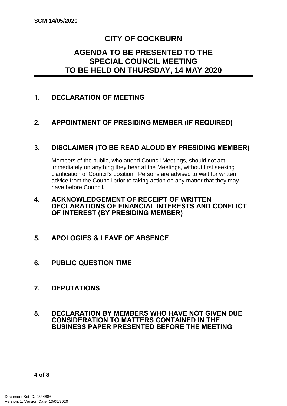# **CITY OF COCKBURN**

## **AGENDA TO BE PRESENTED TO THE SPECIAL COUNCIL MEETING TO BE HELD ON THURSDAY, 14 MAY 2020**

## <span id="page-3-0"></span>**1. DECLARATION OF MEETING**

## <span id="page-3-1"></span>**2. APPOINTMENT OF PRESIDING MEMBER (IF REQUIRED)**

## <span id="page-3-2"></span>**3. DISCLAIMER (TO BE READ ALOUD BY PRESIDING MEMBER)**

Members of the public, who attend Council Meetings, should not act immediately on anything they hear at the Meetings, without first seeking clarification of Council's position. Persons are advised to wait for written advice from the Council prior to taking action on any matter that they may have before Council.

#### <span id="page-3-3"></span>**4. ACKNOWLEDGEMENT OF RECEIPT OF WRITTEN DECLARATIONS OF FINANCIAL INTERESTS AND CONFLICT OF INTEREST (BY PRESIDING MEMBER)**

- <span id="page-3-4"></span>**5. APOLOGIES & LEAVE OF ABSENCE**
- <span id="page-3-5"></span>**6. PUBLIC QUESTION TIME**
- <span id="page-3-6"></span>**7. DEPUTATIONS**
- <span id="page-3-7"></span>**8. DECLARATION BY MEMBERS WHO HAVE NOT GIVEN DUE CONSIDERATION TO MATTERS CONTAINED IN THE BUSINESS PAPER PRESENTED BEFORE THE MEETING**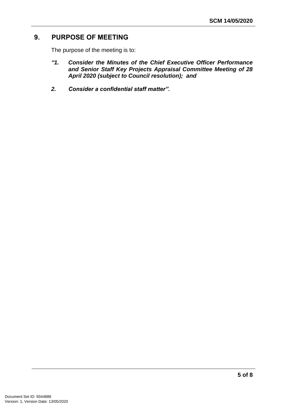## <span id="page-4-0"></span>**9. PURPOSE OF MEETING**

The purpose of the meeting is to:

- *"1. Consider the Minutes of the Chief Executive Officer Performance and Senior Staff Key Projects Appraisal Committee Meeting of 28 April 2020 (subject to Council resolution); and*
- *2. Consider a confidential staff matter".*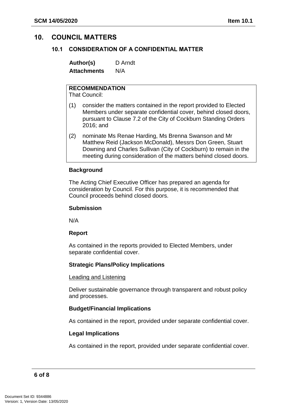## <span id="page-5-1"></span><span id="page-5-0"></span>**10. COUNCIL MATTERS**

#### **10.1 CONSIDERATION OF A CONFIDENTIAL MATTER**

**Author(s)** D Arndt **Attachments** N/A

## **RECOMMENDATION**

That Council:

- (1) consider the matters contained in the report provided to Elected Members under separate confidential cover, behind closed doors, pursuant to Clause 7.2 of the City of Cockburn Standing Orders 2016; and
- (2) nominate Ms Renae Harding, Ms Brenna Swanson and Mr Matthew Reid (Jackson McDonald), Messrs Don Green, Stuart Downing and Charles Sullivan (City of Cockburn) to remain in the meeting during consideration of the matters behind closed doors.

#### **Background**

The Acting Chief Executive Officer has prepared an agenda for consideration by Council. For this purpose, it is recommended that Council proceeds behind closed doors.

#### **Submission**

N/A

#### **Report**

As contained in the reports provided to Elected Members, under separate confidential cover.

#### **Strategic Plans/Policy Implications**

#### Leading and Listening

Deliver sustainable governance through transparent and robust policy and processes.

#### **Budget/Financial Implications**

As contained in the report, provided under separate confidential cover.

#### **Legal Implications**

As contained in the report, provided under separate confidential cover.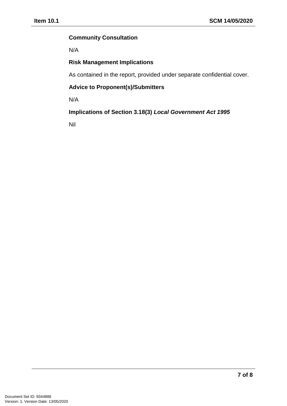#### **Community Consultation**

N/A

## **Risk Management Implications**

As contained in the report, provided under separate confidential cover.

#### **Advice to Proponent(s)/Submitters**

N/A

## **Implications of Section 3.18(3)** *Local Government Act 1995*

Nil